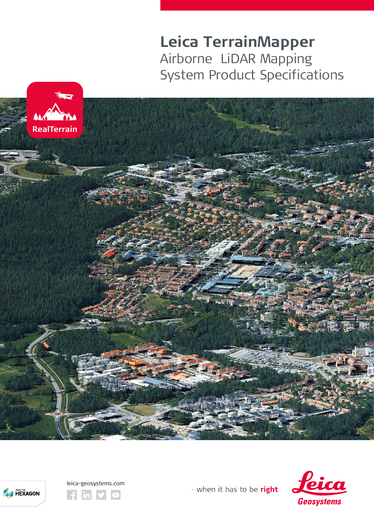**Leica TerrainMapper** Airborne LiDAR Mapping System Product Specifications









- when it has to be right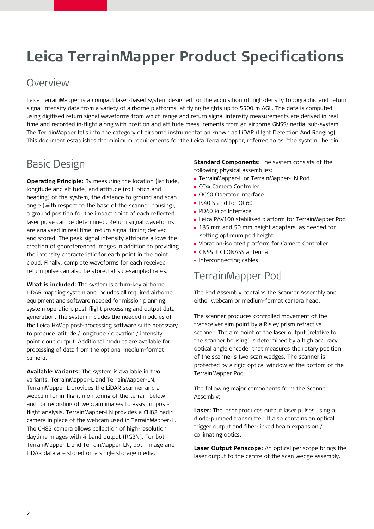# **Leica TerrainMapper Product Specifications**

### **Overview**

Leica TerrainMapper is a compact laser-based system designed for the acquisition of high-density topographic and return signal intensity data from a variety of airborne platforms, at flying heights up to 5500 m AGL. The data is computed using digitised return signal waveforms from which range and return signal intensity measurements are derived in real time and recorded in-flight along with position and attitude measurements from an airborne GNSS/inertial sub-system. The TerrainMapper falls into the category of airborne instrumentation known as LiDAR (LIght Detection And Ranging). This document establishes the minimum requirements for the Leica TerrainMapper, referred to as "the system" herein.

## Basic Design

**Operating Principle:** By measuring the location (latitude, longitude and altitude) and attitude (roll, pitch and heading) of the system, the distance to ground and scan angle (with respect to the base of the scanner housing), a ground position for the impact point of each reflected laser pulse can be determined. Return signal waveforms are analysed in real time, return signal timing derived and stored. The peak signal intensity attribute allows the creation of georeferenced images in addition to providing the intensity characteristic for each point in the point cloud. Finally, complete waveforms for each received return pulse can also be stored at sub-sampled rates.

**What is included:** The system is a turn-key airborne LiDAR mapping system and includes all required airborne equipment and software needed for mission planning, system operation, post-flight processing and output data generation. The system includes the needed modules of the Leica HxMap post-processing software suite necessary to produce latitude / longitude / elevation / intensity point cloud output. Additional modules are available for processing of data from the optional medium-format camera.

**Available Variants:** The system is available in two variants, TerrainMapper-L and TerrainMapper-LN. TerrainMapper-L provides the LiDAR scanner and a webcam for in-flight monitoring of the terrain below and for recording of webcam images to assist in postflight analysis. TerrainMapper-LN provides a CH82 nadir camera in place of the webcam used in TerrainMapper-L. The CH82 camera allows collection of high-resolution daytime images with 4-band output (RGBN). For both TerrainMapper-L and TerrainMapper-LN, both image and LiDAR data are stored on a single storage media.

**Standard Components:** The system consists of the following physical assemblies:

- **TerrainMapper-L or TerrainMapper-LN Pod**
- CCxx Camera Controller
- **OC60 Operator Interface**
- **IS40 Stand for OC60**
- **PD60 Pilot Interface**
- Leica PAV100 stabilised platform for TerrainMapper Pod
- **185 mm and 50 mm height adapters, as needed for** setting optimum pod height
- Vibration-isolated platform for Camera Controller
- GNSS + GLONASS antenna
- **Interconnecting cables**

### TerrainMapper Pod

The Pod Assembly contains the Scanner Assembly and either webcam or medium-format camera head.

The scanner produces controlled movement of the transceiver aim point by a Risley prism refractive scanner. The aim point of the laser output (relative to the scanner housing) is determined by a high accuracy optical angle encoder that measures the rotary position of the scanner's two scan wedges. The scanner is protected by a rigid optical window at the bottom of the TerrainMapper Pod.

The following major components form the Scanner Assembly:

**Laser:** The laser produces output laser pulses using a diode-pumped transmitter. It also contains an optical trigger output and fiber-linked beam expansion / collimating optics.

**Laser Output Periscope:** An optical periscope brings the laser output to the centre of the scan wedge assembly.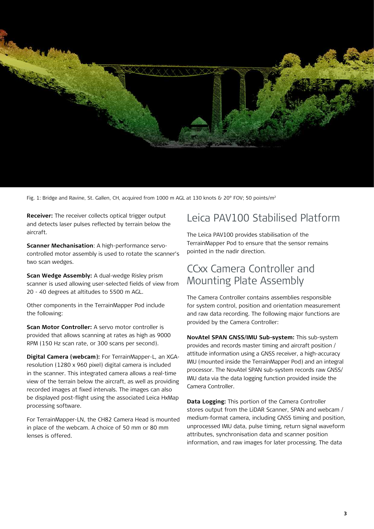

Fig. 1: Bridge and Ravine, St. Gallen, CH, acquired from 1000 m AGL at 130 knots & 20° FOV; 50 points/m<sup>2</sup>

**Receiver:** The receiver collects optical trigger output and detects laser pulses reflected by terrain below the aircraft.

**Scanner Mechanisation**: A high-performance servocontrolled motor assembly is used to rotate the scanner's two scan wedges.

**Scan Wedge Assembly:** A dual-wedge Risley prism scanner is used allowing user-selected fields of view from 20 - 40 degrees at altitudes to 5500 m AGL.

Other components in the TerrainMapper Pod include the following:

**Scan Motor Controller:** A servo motor controller is provided that allows scanning at rates as high as 9000 RPM (150 Hz scan rate, or 300 scans per second).

**Digital Camera (webcam):** For TerrainMapper-L, an XGAresolution (1280 x 960 pixel) digital camera is included in the scanner. This integrated camera allows a real-time view of the terrain below the aircraft, as well as providing recorded images at fixed intervals. The images can also be displayed post-flight using the associated Leica HxMap processing software.

For TerrainMapper-LN, the CH82 Camera Head is mounted in place of the webcam. A choice of 50 mm or 80 mm lenses is offered.

### Leica PAV100 Stabilised Platform

The Leica PAV100 provides stabilisation of the TerrainMapper Pod to ensure that the sensor remains pointed in the nadir direction.

## CCxx Camera Controller and Mounting Plate Assembly

The Camera Controller contains assemblies responsible for system control, position and orientation measurement and raw data recording. The following major functions are provided by the Camera Controller:

**NovAtel SPAN GNSS/IMU Sub-system:** This sub-system provides and records master timing and aircraft position / attitude information using a GNSS receiver, a high-accuracy IMU (mounted inside the TerrainMapper Pod) and an integral processor. The NovAtel SPAN sub-system records raw GNSS/ IMU data via the data logging function provided inside the Camera Controller.

**Data Logging:** This portion of the Camera Controller stores output from the LiDAR Scanner, SPAN and webcam / medium-format camera, including GNSS timing and position, unprocessed IMU data, pulse timing, return signal waveform attributes, synchronisation data and scanner position information, and raw images for later processing. The data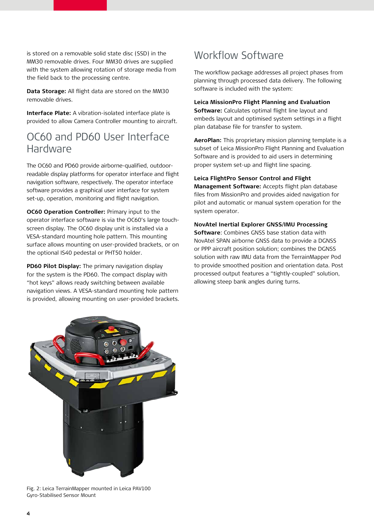is stored on a removable solid state disc (SSD) in the MM30 removable drives. Four MM30 drives are supplied with the system allowing rotation of storage media from the field back to the processing centre.

**Data Storage:** All flight data are stored on the MM30 removable drives.

**Interface Plate:** A vibration-isolated interface plate is provided to allow Camera Controller mounting to aircraft.

### OC60 and PD60 User Interface Hardware

The OC60 and PD60 provide airborne-qualified, outdoorreadable display platforms for operator interface and flight navigation software, respectively. The operator interface software provides a graphical user interface for system set-up, operation, monitoring and flight navigation.

**OC60 Operation Controller:** Primary input to the operator interface software is via the OC60's large touchscreen display. The OC60 display unit is installed via a VESA-standard mounting hole pattern. This mounting surface allows mounting on user-provided brackets, or on the optional IS40 pedestal or PHT50 holder.

**PD60 Pilot Display:** The primary navigation display for the system is the PD60. The compact display with "hot keys" allows ready switching between available navigation views. A VESA-standard mounting hole pattern is provided, allowing mounting on user-provided brackets.

# Workflow Software

The workflow package addresses all project phases from planning through processed data delivery. The following software is included with the system:

#### **Leica MissionPro Flight Planning and Evaluation**

**Software:** Calculates optimal flight line layout and embeds layout and optimised system settings in a flight plan database file for transfer to system.

**AeroPlan:** This proprietary mission planning template is a subset of Leica MissionPro Flight Planning and Evaluation Software and is provided to aid users in determining proper system set-up and flight line spacing.

#### **Leica FlightPro Sensor Control and Flight**

**Management Software:** Accepts flight plan database files from MissionPro and provides aided navigation for pilot and automatic or manual system operation for the system operator.

#### **NovAtel Inertial Explorer GNSS/IMU Processing**

**Software**: Combines GNSS base station data with NovAtel SPAN airborne GNSS data to provide a DGNSS or PPP aircraft position solution; combines the DGNSS solution with raw IMU data from the TerrainMapper Pod to provide smoothed position and orientation data. Post processed output features a "tightly-coupled" solution, allowing steep bank angles during turns.



Fig. 2: Leica TerrainMapper mounted in Leica PAV100 Gyro-Stabilised Sensor Mount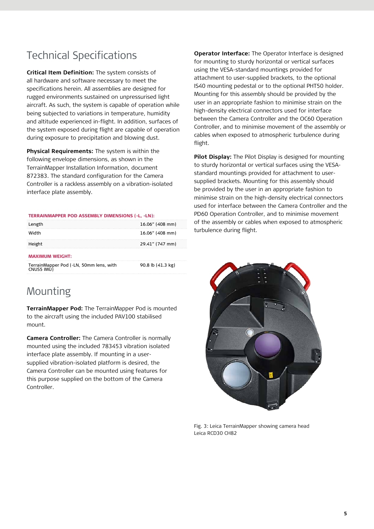# Technical Specifications

**Critical Item Definition:** The system consists of all hardware and software necessary to meet the specifications herein. All assemblies are designed for rugged environments sustained on unpressurised light aircraft. As such, the system is capable of operation while being subjected to variations in temperature, humidity and altitude experienced in-flight. In addition, surfaces of the system exposed during flight are capable of operation during exposure to precipitation and blowing dust.

**Physical Requirements:** The system is within the following envelope dimensions, as shown in the TerrainMapper Installation Information, document 872383. The standard configuration for the Camera Controller is a rackless assembly on a vibration-isolated interface plate assembly.

#### **TERRAINMAPPER POD ASSEMBLY DIMENSIONS (-L, -LN):**

| Length                                                | 16.06" (408 mm)   |
|-------------------------------------------------------|-------------------|
| <b>Width</b>                                          | 16.06" (408 mm)   |
| Height                                                | 29.41" (747 mm)   |
| <b>MAXIMUM WEIGHT:</b>                                |                   |
| TerrainMapper Pod (-LN, 50mm lens, with<br>CNUS5 IMU) | 90.8 lb (41.3 kg) |

### Mounting

**TerrainMapper Pod:** The TerrainMapper Pod is mounted to the aircraft using the included PAV100 stabilised mount.

**Camera Controller:** The Camera Controller is normally mounted using the included 783453 vibration isolated interface plate assembly. If mounting in a usersupplied vibration-isolated platform is desired, the Camera Controller can be mounted using features for this purpose supplied on the bottom of the Camera Controller.

**Operator Interface:** The Operator Interface is designed for mounting to sturdy horizontal or vertical surfaces using the VESA-standard mountings provided for attachment to user-supplied brackets, to the optional IS40 mounting pedestal or to the optional PHT50 holder. Mounting for this assembly should be provided by the user in an appropriate fashion to minimise strain on the high-density electrical connectors used for interface between the Camera Controller and the OC60 Operation Controller, and to minimise movement of the assembly or cables when exposed to atmospheric turbulence during flight.

**Pilot Display:** The Pilot Display is designed for mounting to sturdy horizontal or vertical surfaces using the VESAstandard mountings provided for attachment to usersupplied brackets. Mounting for this assembly should be provided by the user in an appropriate fashion to minimise strain on the high-density electrical connectors used for interface between the Camera Controller and the PD60 Operation Controller, and to minimise movement of the assembly or cables when exposed to atmospheric turbulence during flight.



Fig. 3: Leica TerrainMapper showing camera head Leica RCD30 CH82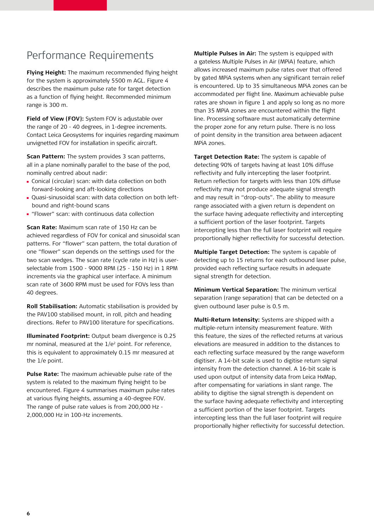### Performance Requirements

**Flying Height:** The maximum recommended flying height for the system is approximately 5500 m AGL. Figure 4 describes the maximum pulse rate for target detection as a function of flying height. Recommended minimum range is 300 m.

**Field of View (FOV):** System FOV is adjustable over the range of 20 - 40 degrees, in 1-degree increments. Contact Leica Geosystems for inquiries regarding maximum unvignetted FOV for installation in specific aircraft.

**Scan Pattern:** The system provides 3 scan patterns, all in a plane nominally parallel to the base of the pod, nominally centred about nadir:

- Conical (circular) scan: with data collection on both forward-looking and aft-looking directions
- Quasi-sinusoidal scan: with data collection on both left bound and right-bound scans
- "Flower" scan: with continuous data collection

**Scan Rate:** Maximum scan rate of 150 Hz can be achieved regardless of FOV for conical and sinusoidal scan patterns. For "flower" scan pattern, the total duration of one "flower" scan depends on the settings used for the two scan wedges. The scan rate (cycle rate in Hz) is userselectable from 1500 - 9000 RPM (25 - 150 Hz) in 1 RPM increments via the graphical user interface. A minimum scan rate of 3600 RPM must be used for FOVs less than 40 degrees.

**Roll Stabilisation:** Automatic stabilisation is provided by the PAV100 stabilised mount, in roll, pitch and heading directions. Refer to PAV100 literature for specifications.

**Illuminated Footprint:** Output beam divergence is 0.25 mr nominal, measured at the 1/e<sup>2</sup> point. For reference, this is equivalent to approximately 0.15 mr measured at the 1/e point.

**Pulse Rate:** The maximum achievable pulse rate of the system is related to the maximum flying height to be encountered. Figure 4 summarises maximum pulse rates at various flying heights, assuming a 40-degree FOV. The range of pulse rate values is from 200,000 Hz - 2,000,000 Hz in 100-Hz increments.

**Multiple Pulses in Air:** The system is equipped with a gateless Multiple Pulses in Air (MPiA) feature, which allows increased maximum pulse rates over that offered by gated MPiA systems when any significant terrain relief is encountered. Up to 35 simultaneous MPiA zones can be accommodated per flight line. Maximum achievable pulse rates are shown in figure 1 and apply so long as no more than 35 MPiA zones are encountered within the flight line. Processing software must automatically determine the proper zone for any return pulse. There is no loss of point density in the transition area between adjacent MPiA zones.

**Target Detection Rate:** The system is capable of detecting 90% of targets having at least 10% diffuse reflectivity and fully intercepting the laser footprint. Return reflection for targets with less than 10% diffuse reflectivity may not produce adequate signal strength and may result in "drop-outs". The ability to measure range associated with a given return is dependent on the surface having adequate reflectivity and intercepting a sufficient portion of the laser footprint. Targets intercepting less than the full laser footprint will require proportionally higher reflectivity for successful detection.

**Multiple Target Detection:** The system is capable of detecting up to 15 returns for each outbound laser pulse, provided each reflecting surface results in adequate signal strength for detection.

**Minimum Vertical Separation:** The minimum vertical separation (range separation) that can be detected on a given outbound laser pulse is 0.5 m.

**Multi-Return Intensity:** Systems are shipped with a multiple-return intensity measurement feature. With this feature, the sizes of the reflected returns at various elevations are measured in addition to the distances to each reflecting surface measured by the range waveform digitiser. A 14-bit scale is used to digitise return signal intensity from the detection channel. A 16-bit scale is used upon output of intensity data from Leica HxMap, after compensating for variations in slant range. The ability to digitise the signal strength is dependent on the surface having adequate reflectivity and intercepting a sufficient portion of the laser footprint. Targets intercepting less than the full laser footprint will require proportionally higher reflectivity for successful detection.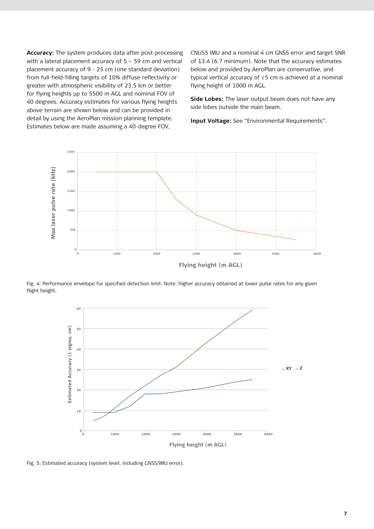**Accuracy:** The system produces data after post-processing with a lateral placement accuracy of 5 – 59 cm and vertical placement accuracy of 9 - 25 cm (one standard deviation) from full-field-filling targets of 10% diffuse reflectivity or greater with atmospheric visibility of 23.5 km or better for flying heights up to 5500 m AGL and nominal FOV of 40 degrees. Accuracy estimates for various flying heights above terrain are shown below and can be provided in detail by using the AeroPlan mission planning template. Estimates below are made assuming a 40-degree FOV,

CNUS5 IMU and a nominal 4 cm GNSS error and target SNR of 13.4 (6.7 minimum). Note that the accuracy estimates below and provided by AeroPlan are conservative, and typical vertical accuracy of <5 cm is achieved at a nominal flying height of 1000 m AGL.

**Side Lobes:** The laser output beam does not have any side lobes outside the main beam.

**Input Voltage:** See "Environmental Requirements".



Fig. 4: Performance envelope for specified detection limit. Note: higher accuracy obtained at lower pulse rates for any given flight height.



Fig. 5: Estimated accuracy (system level, including GNSS/IMU error).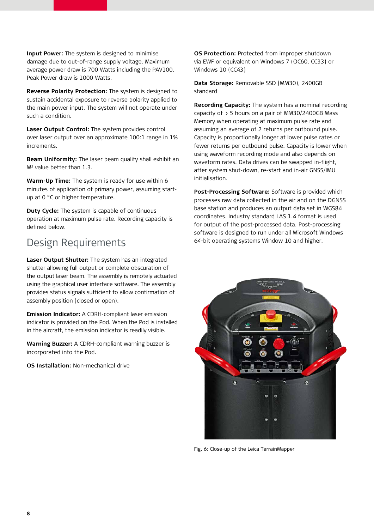**Input Power:** The system is designed to minimise damage due to out-of-range supply voltage. Maximum average power draw is 700 Watts including the PAV100. Peak Power draw is 1000 Watts.

**Reverse Polarity Protection:** The system is designed to sustain accidental exposure to reverse polarity applied to the main power input. The system will not operate under such a condition.

**Laser Output Control:** The system provides control over laser output over an approximate 100:1 range in 1% increments.

**Beam Uniformity:** The laser beam quality shall exhibit an M2 value better than 1.3.

**Warm-Up Time:** The system is ready for use within 6 minutes of application of primary power, assuming startup at 0 °C or higher temperature.

**Duty Cycle:** The system is capable of continuous operation at maximum pulse rate. Recording capacity is defined below.

## Design Requirements

**Laser Output Shutter:** The system has an integrated shutter allowing full output or complete obscuration of the output laser beam. The assembly is remotely actuated using the graphical user interface software. The assembly provides status signals sufficient to allow confirmation of assembly position (closed or open).

**Emission Indicator:** A CDRH-compliant laser emission indicator is provided on the Pod. When the Pod is installed in the aircraft, the emission indicator is readily visible.

**Warning Buzzer:** A CDRH-compliant warning buzzer is incorporated into the Pod.

**OS Installation:** Non-mechanical drive

**OS Protection:** Protected from improper shutdown via EWF or equivalent on Windows 7 (OC60, CC33) or Windows 10 (CC43)

**Data Storage:** Removable SSD (MM30), 2400GB standard

**Recording Capacity:** The system has a nominal recording capacity of > 5 hours on a pair of MM30/2400GB Mass Memory when operating at maximum pulse rate and assuming an average of 2 returns per outbound pulse. Capacity is proportionally longer at lower pulse rates or fewer returns per outbound pulse. Capacity is lower when using waveform recording mode and also depends on waveform rates. Data drives can be swapped in-flight, after system shut-down, re-start and in-air GNSS/IMU initialisation.

**Post-Processing Software:** Software is provided which processes raw data collected in the air and on the DGNSS base station and produces an output data set in WGS84 coordinates. Industry standard LAS 1.4 format is used for output of the post-processed data. Post-processing software is designed to run under all Microsoft Windows 64-bit operating systems Window 10 and higher.



Fig. 6: Close-up of the Leica TerrainMapper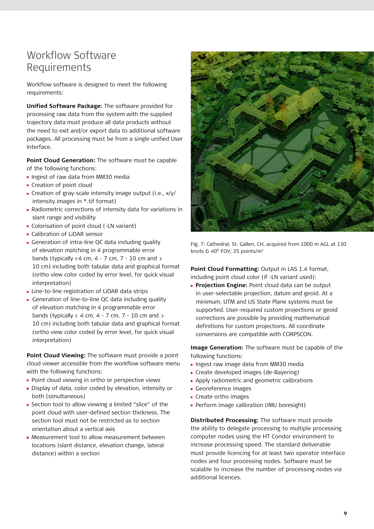# Workflow Software Requirements

Workflow software is designed to meet the following requirements:

**Unified Software Package:** The software provided for processing raw data from the system with the supplied trajectory data must produce all data products without the need to exit and/or export data to additional software packages. All processing must be from a single unified User Interface.

**Point Cloud Generation:** The software must be capable of the following functions:

- **Ingest of raw data from MM30 media**
- **Creation of point cloud**
- Creation of gray-scale intensity image output (i.e., x/y/ intensity images in \*.tif format)
- Radiometric corrections of intensity data for variations in slant range and visibility
- Colorisation of point cloud (-LN variant)
- **Calibration of LiDAR sensor**
- Generation of intra-line QC data including quality of elevation matching in 4 programmable error bands (typically  $\langle 4 \text{ cm}, 4 - 7 \text{ cm}, 7 - 10 \text{ cm}$  and  $\rangle$ 10 cm) including both tabular data and graphical format (ortho view color coded by error level, for quick visual interpretation)
- **Line-to-line registration of LiDAR data strips**
- Generation of line-to-line QC data including quality of elevation matching in 4 programmable error bands (typically  $\left\langle 4 \right\rangle$  cm, 4 - 7 cm, 7 - 10 cm and  $\left\rangle$ 10 cm) including both tabular data and graphical format (ortho view color coded by error level, for quick visual interpretation)

**Point Cloud Viewing:** The software must provide a point cloud viewer accessible from the workflow software menu with the following functions:

- **Point cloud viewing in ortho or perspective views**
- Display of data, color coded by elevation, intensity or both (simultaneous)
- Section tool to allow viewing a limited "slice" of the point cloud with user-defined section thickness. The section tool must not be restricted as to section orientation about a vertical axis
- **Measurement tool to allow measurement between**  locations (slant distance, elevation change, lateral distance) within a section



Fig. 7: Cathedral, St. Gallen, CH, acquired from 1000 m AGL at 130 knots & 40° FOV; 25 points/m2

**Point Cloud Formatting:** Output in LAS 1.4 format, including point cloud color (if -LN variant used):

 **Projection Engine:** Point cloud data can be output in user-selectable projection, datum and geoid. At a minimum, UTM and US State Plane systems must be supported. User-required custom projections or geoid corrections are possible by providing mathematical definitions for custom projections. All coordinate conversions are compatible with CORPSCON.

**Image Generation:** The software must be capable of the following functions:

- **Ingest raw image data from MM30 media**
- Create developed images (de-Bayering)
- **Apply radiometric and geometric calibrations**
- Georeference images
- Create ortho images
- Perform image calibration (IMU boresight)

**Distributed Processing:** The software must provide the ability to delegate processing to multiple processing computer nodes using the HT Condor environment to increase processing speed. The standard deliverable must provide licencing for at least two operator interface nodes and four processing nodes. Software must be scalable to increase the number of processing nodes via additional licences.